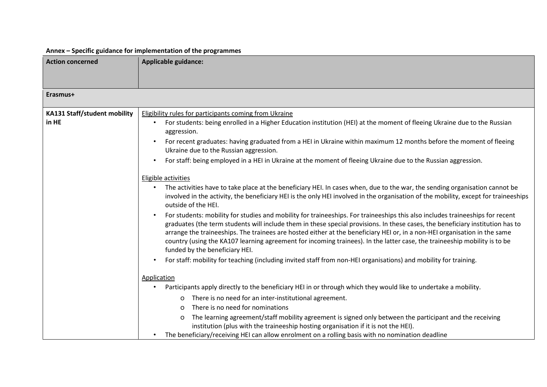## **Annex – Specific guidance for implementation of the programmes**

| <b>Action concerned</b>      | <b>Applicable guidance:</b>                                                                                                                                                                                                                                                                                                                                                                                                                                                                                                                                 |
|------------------------------|-------------------------------------------------------------------------------------------------------------------------------------------------------------------------------------------------------------------------------------------------------------------------------------------------------------------------------------------------------------------------------------------------------------------------------------------------------------------------------------------------------------------------------------------------------------|
|                              |                                                                                                                                                                                                                                                                                                                                                                                                                                                                                                                                                             |
|                              |                                                                                                                                                                                                                                                                                                                                                                                                                                                                                                                                                             |
| Erasmus+                     |                                                                                                                                                                                                                                                                                                                                                                                                                                                                                                                                                             |
| KA131 Staff/student mobility | <b>Eligibility rules for participants coming from Ukraine</b>                                                                                                                                                                                                                                                                                                                                                                                                                                                                                               |
| in HE                        | For students: being enrolled in a Higher Education institution (HEI) at the moment of fleeing Ukraine due to the Russian<br>aggression.                                                                                                                                                                                                                                                                                                                                                                                                                     |
|                              | For recent graduates: having graduated from a HEI in Ukraine within maximum 12 months before the moment of fleeing<br>Ukraine due to the Russian aggression.                                                                                                                                                                                                                                                                                                                                                                                                |
|                              | For staff: being employed in a HEI in Ukraine at the moment of fleeing Ukraine due to the Russian aggression.                                                                                                                                                                                                                                                                                                                                                                                                                                               |
|                              | Eligible activities                                                                                                                                                                                                                                                                                                                                                                                                                                                                                                                                         |
|                              | The activities have to take place at the beneficiary HEI. In cases when, due to the war, the sending organisation cannot be<br>involved in the activity, the beneficiary HEI is the only HEI involved in the organisation of the mobility, except for traineeships<br>outside of the HEI.                                                                                                                                                                                                                                                                   |
|                              | For students: mobility for studies and mobility for traineeships. For traineeships this also includes traineeships for recent<br>graduates (the term students will include them in these special provisions. In these cases, the beneficiary institution has to<br>arrange the traineeships. The trainees are hosted either at the beneficiary HEI or, in a non-HEI organisation in the same<br>country (using the KA107 learning agreement for incoming trainees). In the latter case, the traineeship mobility is to be<br>funded by the beneficiary HEI. |
|                              | For staff: mobility for teaching (including invited staff from non-HEI organisations) and mobility for training.                                                                                                                                                                                                                                                                                                                                                                                                                                            |
|                              | Application                                                                                                                                                                                                                                                                                                                                                                                                                                                                                                                                                 |
|                              | Participants apply directly to the beneficiary HEI in or through which they would like to undertake a mobility.                                                                                                                                                                                                                                                                                                                                                                                                                                             |
|                              | There is no need for an inter-institutional agreement.<br>O                                                                                                                                                                                                                                                                                                                                                                                                                                                                                                 |
|                              | There is no need for nominations<br>$\Omega$                                                                                                                                                                                                                                                                                                                                                                                                                                                                                                                |
|                              | The learning agreement/staff mobility agreement is signed only between the participant and the receiving<br>O<br>institution (plus with the traineeship hosting organisation if it is not the HEI).                                                                                                                                                                                                                                                                                                                                                         |
|                              | The beneficiary/receiving HEI can allow enrolment on a rolling basis with no nomination deadline                                                                                                                                                                                                                                                                                                                                                                                                                                                            |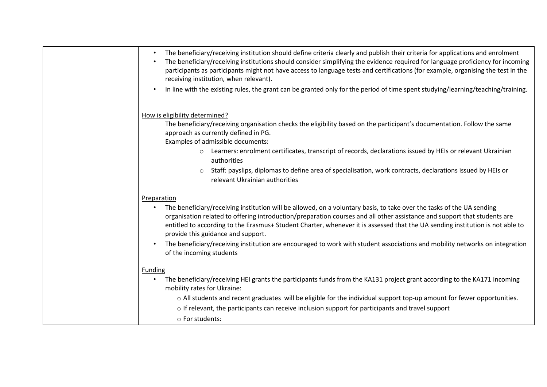| The beneficiary/receiving institution should define criteria clearly and publish their criteria for applications and enrolment<br>The beneficiary/receiving institutions should consider simplifying the evidence required for language proficiency for incoming<br>participants as participants might not have access to language tests and certifications (for example, organising the test in the<br>receiving institution, when relevant). |
|------------------------------------------------------------------------------------------------------------------------------------------------------------------------------------------------------------------------------------------------------------------------------------------------------------------------------------------------------------------------------------------------------------------------------------------------|
| In line with the existing rules, the grant can be granted only for the period of time spent studying/learning/teaching/training.                                                                                                                                                                                                                                                                                                               |
| How is eligibility determined?                                                                                                                                                                                                                                                                                                                                                                                                                 |
| The beneficiary/receiving organisation checks the eligibility based on the participant's documentation. Follow the same<br>approach as currently defined in PG.<br>Examples of admissible documents:                                                                                                                                                                                                                                           |
| Learners: enrolment certificates, transcript of records, declarations issued by HEIs or relevant Ukrainian<br>$\circ$<br>authorities                                                                                                                                                                                                                                                                                                           |
| Staff: payslips, diplomas to define area of specialisation, work contracts, declarations issued by HEIs or<br>$\circ$<br>relevant Ukrainian authorities                                                                                                                                                                                                                                                                                        |
| Preparation                                                                                                                                                                                                                                                                                                                                                                                                                                    |
| The beneficiary/receiving institution will be allowed, on a voluntary basis, to take over the tasks of the UA sending<br>organisation related to offering introduction/preparation courses and all other assistance and support that students are<br>entitled to according to the Erasmus+ Student Charter, whenever it is assessed that the UA sending institution is not able to<br>provide this guidance and support.                       |
| The beneficiary/receiving institution are encouraged to work with student associations and mobility networks on integration<br>of the incoming students                                                                                                                                                                                                                                                                                        |
| <b>Funding</b>                                                                                                                                                                                                                                                                                                                                                                                                                                 |
| The beneficiary/receiving HEI grants the participants funds from the KA131 project grant according to the KA171 incoming<br>mobility rates for Ukraine:                                                                                                                                                                                                                                                                                        |
| o All students and recent graduates will be eligible for the individual support top-up amount for fewer opportunities.                                                                                                                                                                                                                                                                                                                         |
| o If relevant, the participants can receive inclusion support for participants and travel support                                                                                                                                                                                                                                                                                                                                              |
| o For students:                                                                                                                                                                                                                                                                                                                                                                                                                                |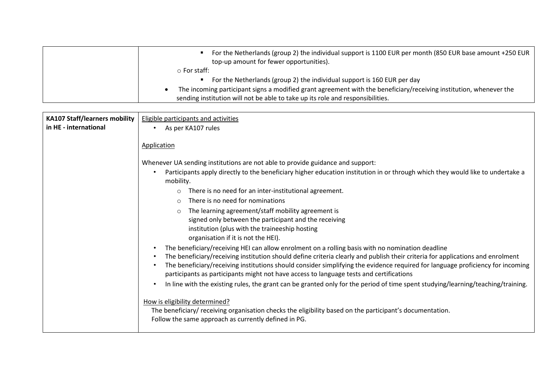| For the Netherlands (group 2) the individual support is 1100 EUR per month (850 EUR base amount +250 EUR<br>top-up amount for fewer opportunities). |
|-----------------------------------------------------------------------------------------------------------------------------------------------------|
| $\circ$ For staff:                                                                                                                                  |
| For the Netherlands (group 2) the individual support is 160 EUR per day                                                                             |
| The incoming participant signs a modified grant agreement with the beneficiary/receiving institution, whenever the                                  |
| sending institution will not be able to take up its role and responsibilities.                                                                      |

| <b>KA107 Staff/learners mobility</b> | <b>Eligible participants and activities</b>                                                                                                                                                                                                                                                                                                                                                                                                                     |
|--------------------------------------|-----------------------------------------------------------------------------------------------------------------------------------------------------------------------------------------------------------------------------------------------------------------------------------------------------------------------------------------------------------------------------------------------------------------------------------------------------------------|
| in HE - international                | As per KA107 rules<br>$\bullet$                                                                                                                                                                                                                                                                                                                                                                                                                                 |
|                                      | <b>Application</b>                                                                                                                                                                                                                                                                                                                                                                                                                                              |
|                                      | Whenever UA sending institutions are not able to provide guidance and support:                                                                                                                                                                                                                                                                                                                                                                                  |
|                                      | Participants apply directly to the beneficiary higher education institution in or through which they would like to undertake a<br>mobility.                                                                                                                                                                                                                                                                                                                     |
|                                      | There is no need for an inter-institutional agreement.<br>$\circ$                                                                                                                                                                                                                                                                                                                                                                                               |
|                                      | There is no need for nominations<br>$\circ$                                                                                                                                                                                                                                                                                                                                                                                                                     |
|                                      | The learning agreement/staff mobility agreement is<br>$\circ$<br>signed only between the participant and the receiving                                                                                                                                                                                                                                                                                                                                          |
|                                      | institution (plus with the traineeship hosting<br>organisation if it is not the HEI).                                                                                                                                                                                                                                                                                                                                                                           |
|                                      | The beneficiary/receiving HEI can allow enrolment on a rolling basis with no nomination deadline<br>The beneficiary/receiving institution should define criteria clearly and publish their criteria for applications and enrolment<br>The beneficiary/receiving institutions should consider simplifying the evidence required for language proficiency for incoming<br>participants as participants might not have access to language tests and certifications |
|                                      | In line with the existing rules, the grant can be granted only for the period of time spent studying/learning/teaching/training.                                                                                                                                                                                                                                                                                                                                |
|                                      | How is eligibility determined?<br>The beneficiary/ receiving organisation checks the eligibility based on the participant's documentation.<br>Follow the same approach as currently defined in PG.                                                                                                                                                                                                                                                              |